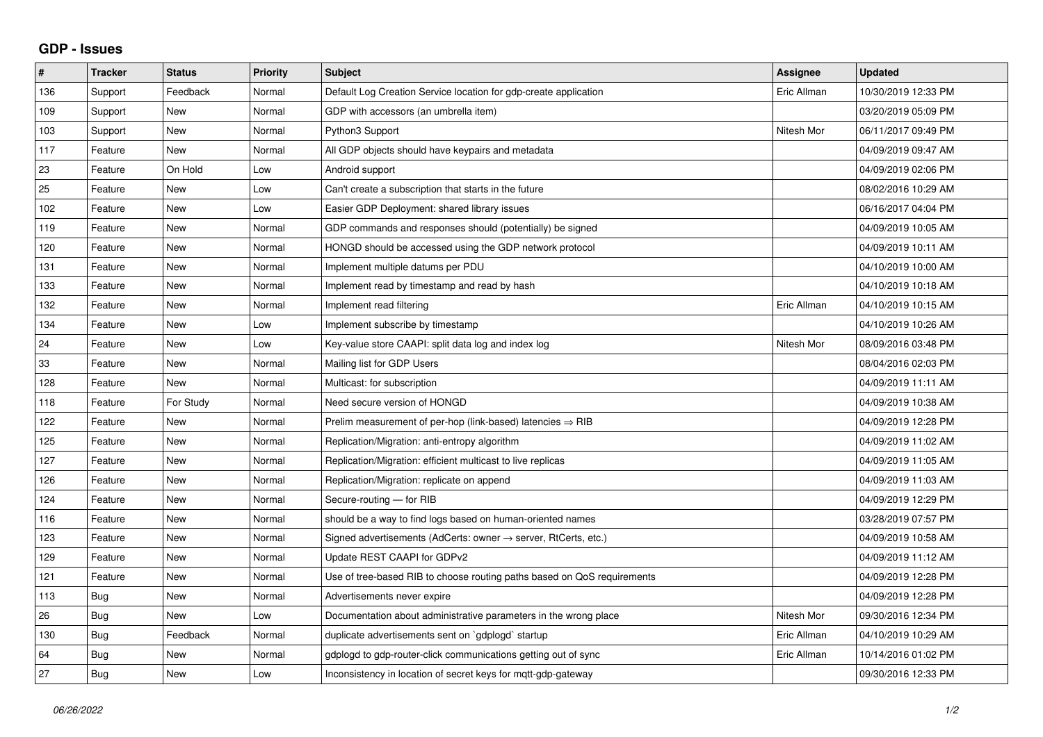## **GDP - Issues**

| $\#$ | <b>Tracker</b> | <b>Status</b> | <b>Priority</b> | <b>Subject</b>                                                             | Assignee    | <b>Updated</b>      |
|------|----------------|---------------|-----------------|----------------------------------------------------------------------------|-------------|---------------------|
| 136  | Support        | Feedback      | Normal          | Default Log Creation Service location for gdp-create application           | Eric Allman | 10/30/2019 12:33 PM |
| 109  | Support        | <b>New</b>    | Normal          | GDP with accessors (an umbrella item)                                      |             | 03/20/2019 05:09 PM |
| 103  | Support        | <b>New</b>    | Normal          | Python3 Support                                                            | Nitesh Mor  | 06/11/2017 09:49 PM |
| 117  | Feature        | <b>New</b>    | Normal          | All GDP objects should have keypairs and metadata                          |             | 04/09/2019 09:47 AM |
| 23   | Feature        | On Hold       | Low             | Android support                                                            |             | 04/09/2019 02:06 PM |
| 25   | Feature        | <b>New</b>    | Low             | Can't create a subscription that starts in the future                      |             | 08/02/2016 10:29 AM |
| 102  | Feature        | <b>New</b>    | Low             | Easier GDP Deployment: shared library issues                               |             | 06/16/2017 04:04 PM |
| 119  | Feature        | New           | Normal          | GDP commands and responses should (potentially) be signed                  |             | 04/09/2019 10:05 AM |
| 120  | Feature        | <b>New</b>    | Normal          | HONGD should be accessed using the GDP network protocol                    |             | 04/09/2019 10:11 AM |
| 131  | Feature        | <b>New</b>    | Normal          | Implement multiple datums per PDU                                          |             | 04/10/2019 10:00 AM |
| 133  | Feature        | <b>New</b>    | Normal          | Implement read by timestamp and read by hash                               |             | 04/10/2019 10:18 AM |
| 132  | Feature        | <b>New</b>    | Normal          | Implement read filtering                                                   | Eric Allman | 04/10/2019 10:15 AM |
| 134  | Feature        | <b>New</b>    | Low             | Implement subscribe by timestamp                                           |             | 04/10/2019 10:26 AM |
| 24   | Feature        | <b>New</b>    | Low             | Key-value store CAAPI: split data log and index log                        | Nitesh Mor  | 08/09/2016 03:48 PM |
| 33   | Feature        | <b>New</b>    | Normal          | Mailing list for GDP Users                                                 |             | 08/04/2016 02:03 PM |
| 128  | Feature        | New           | Normal          | Multicast: for subscription                                                |             | 04/09/2019 11:11 AM |
| 118  | Feature        | For Study     | Normal          | Need secure version of HONGD                                               |             | 04/09/2019 10:38 AM |
| 122  | Feature        | <b>New</b>    | Normal          | Prelim measurement of per-hop (link-based) latencies $\Rightarrow$ RIB     |             | 04/09/2019 12:28 PM |
| 125  | Feature        | <b>New</b>    | Normal          | Replication/Migration: anti-entropy algorithm                              |             | 04/09/2019 11:02 AM |
| 127  | Feature        | <b>New</b>    | Normal          | Replication/Migration: efficient multicast to live replicas                |             | 04/09/2019 11:05 AM |
| 126  | Feature        | <b>New</b>    | Normal          | Replication/Migration: replicate on append                                 |             | 04/09/2019 11:03 AM |
| 124  | Feature        | <b>New</b>    | Normal          | Secure-routing - for RIB                                                   |             | 04/09/2019 12:29 PM |
| 116  | Feature        | <b>New</b>    | Normal          | should be a way to find logs based on human-oriented names                 |             | 03/28/2019 07:57 PM |
| 123  | Feature        | New           | Normal          | Signed advertisements (AdCerts: owner $\rightarrow$ server, RtCerts, etc.) |             | 04/09/2019 10:58 AM |
| 129  | Feature        | <b>New</b>    | Normal          | Update REST CAAPI for GDPv2                                                |             | 04/09/2019 11:12 AM |
| 121  | Feature        | <b>New</b>    | Normal          | Use of tree-based RIB to choose routing paths based on QoS requirements    |             | 04/09/2019 12:28 PM |
| 113  | Bug            | <b>New</b>    | Normal          | Advertisements never expire                                                |             | 04/09/2019 12:28 PM |
| 26   | Bug            | <b>New</b>    | Low             | Documentation about administrative parameters in the wrong place           | Nitesh Mor  | 09/30/2016 12:34 PM |
| 130  | Bug            | Feedback      | Normal          | duplicate advertisements sent on `gdplogd` startup                         | Eric Allman | 04/10/2019 10:29 AM |
| 64   | <b>Bug</b>     | <b>New</b>    | Normal          | gdplogd to gdp-router-click communications getting out of sync             | Eric Allman | 10/14/2016 01:02 PM |
| 27   | <b>Bug</b>     | <b>New</b>    | Low             | Inconsistency in location of secret keys for mgtt-gdp-gateway              |             | 09/30/2016 12:33 PM |